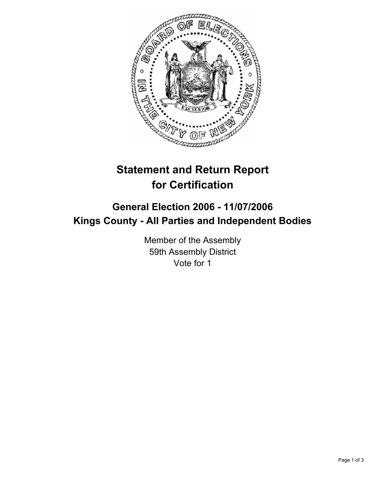

# **Statement and Return Report for Certification**

## **General Election 2006 - 11/07/2006 Kings County - All Parties and Independent Bodies**

Member of the Assembly 59th Assembly District Vote for 1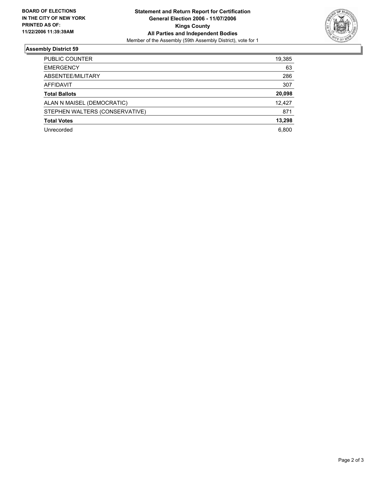

### **Assembly District 59**

| PUBLIC COUNTER                 | 19,385 |
|--------------------------------|--------|
| <b>EMERGENCY</b>               | 63     |
| ABSENTEE/MILITARY              | 286    |
| AFFIDAVIT                      | 307    |
| <b>Total Ballots</b>           | 20,098 |
| ALAN N MAISEL (DEMOCRATIC)     | 12,427 |
| STEPHEN WALTERS (CONSERVATIVE) | 871    |
| <b>Total Votes</b>             | 13,298 |
| Unrecorded                     | 6,800  |
|                                |        |